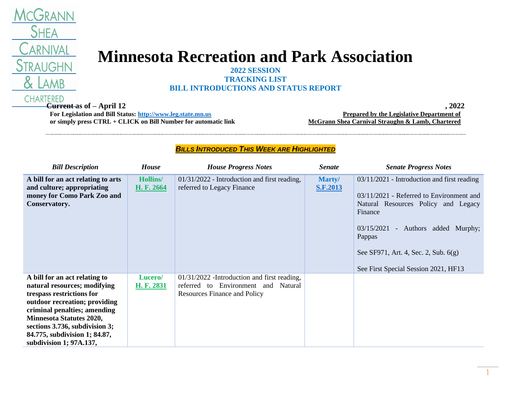

## **Minnesota Recreation and Park Association**

**2022 SESSION TRACKING LIST**

## **BILL INTRODUCTIONS AND STATUS REPORT**

**Current as of – April 12 , 2022 For Legislation and Bill Status: [http://www.leg.state.mn.us](http://www.leg.state.mn.us/) or simply press CTRL + CLICK on Bill Number for automatic link**

**Prepared by the Legislative Department of McGrann Shea Carnival Straughn & Lamb, Chartered**

## *BILLS INTRODUCED THIS WEEK ARE HIGHLIGHTED*

| <b>Bill Description</b>                                                                                                                                                                                                                                                                      | <b>House</b>                  | <b>House Progress Notes</b>                                                                                                 | <b>Senate</b>             | <b>Senate Progress Notes</b>                                                                                                                                                                                                                                                  |
|----------------------------------------------------------------------------------------------------------------------------------------------------------------------------------------------------------------------------------------------------------------------------------------------|-------------------------------|-----------------------------------------------------------------------------------------------------------------------------|---------------------------|-------------------------------------------------------------------------------------------------------------------------------------------------------------------------------------------------------------------------------------------------------------------------------|
| A bill for an act relating to arts<br>and culture; appropriating<br>money for Como Park Zoo and<br>Conservatory.                                                                                                                                                                             | <b>Hollins/</b><br>H. F. 2664 | 01/31/2022 - Introduction and first reading,<br>referred to Legacy Finance                                                  | Marty/<br><b>S.F.2013</b> | $03/11/2021$ - Introduction and first reading<br>$03/11/2021$ - Referred to Environment and<br>Natural Resources Policy and Legacy<br>Finance<br>03/15/2021 - Authors added Murphy;<br>Pappas<br>See SF971, Art. 4, Sec. 2, Sub. 6(g)<br>See First Special Session 2021, HF13 |
| A bill for an act relating to<br>natural resources; modifying<br>trespass restrictions for<br>outdoor recreation; providing<br>criminal penalties; amending<br><b>Minnesota Statutes 2020,</b><br>sections 3.736, subdivision 3;<br>84.775, subdivision 1; 84.87,<br>subdivision 1; 97A.137, | Lucero/<br>H. F. 2831         | $01/31/2022$ -Introduction and first reading,<br>referred to Environment and Natural<br><b>Resources Finance and Policy</b> |                           |                                                                                                                                                                                                                                                                               |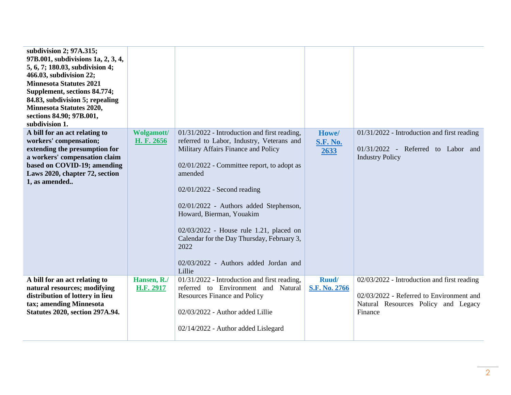| subdivision 2; 97A.315;<br>97B.001, subdivisions 1a, 2, 3, 4,<br>5, 6, 7; 180.03, subdivision 4;<br>466.03, subdivision 22;<br><b>Minnesota Statutes 2021</b><br>Supplement, sections 84.774;<br>84.83, subdivision 5; repealing<br><b>Minnesota Statutes 2020,</b><br>sections 84.90; 97B.001,<br>subdivision 1. |                                 |                                                                                                                                                                                                                                                                                                                                                                                                                                                    |                                  |                                                                                                                                           |
|-------------------------------------------------------------------------------------------------------------------------------------------------------------------------------------------------------------------------------------------------------------------------------------------------------------------|---------------------------------|----------------------------------------------------------------------------------------------------------------------------------------------------------------------------------------------------------------------------------------------------------------------------------------------------------------------------------------------------------------------------------------------------------------------------------------------------|----------------------------------|-------------------------------------------------------------------------------------------------------------------------------------------|
| A bill for an act relating to<br>workers' compensation;<br>extending the presumption for<br>a workers' compensation claim<br>based on COVID-19; amending<br>Laws 2020, chapter 72, section<br>1, as amended                                                                                                       | <b>Wolgamott/</b><br>H. F. 2656 | 01/31/2022 - Introduction and first reading,<br>referred to Labor, Industry, Veterans and<br>Military Affairs Finance and Policy<br>02/01/2022 - Committee report, to adopt as<br>amended<br>02/01/2022 - Second reading<br>02/01/2022 - Authors added Stephenson,<br>Howard, Bierman, Youakim<br>02/03/2022 - House rule 1.21, placed on<br>Calendar for the Day Thursday, February 3,<br>2022<br>02/03/2022 - Authors added Jordan and<br>Lillie | Howe/<br><b>S.F. No.</b><br>2633 | $01/31/2022$ - Introduction and first reading<br>$01/31/2022$ - Referred to Labor and<br><b>Industry Policy</b>                           |
| A bill for an act relating to<br>natural resources; modifying<br>distribution of lottery in lieu<br>tax; amending Minnesota<br><b>Statutes 2020, section 297A.94.</b>                                                                                                                                             | Hansen, R./<br>H.F. 2917        | 01/31/2022 - Introduction and first reading,<br>referred to Environment and Natural<br><b>Resources Finance and Policy</b><br>02/03/2022 - Author added Lillie<br>02/14/2022 - Author added Lislegard                                                                                                                                                                                                                                              | Ruud/<br>S.F. No. 2766           | 02/03/2022 - Introduction and first reading<br>02/03/2022 - Referred to Environment and<br>Natural Resources Policy and Legacy<br>Finance |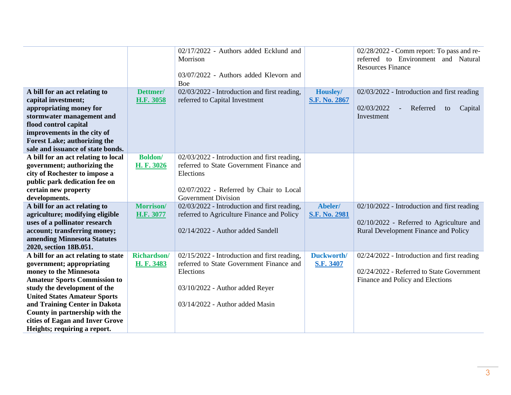| A bill for an act relating to                                            | Dettmer/           | 02/17/2022 - Authors added Ecklund and<br>Morrison<br>03/07/2022 - Authors added Klevorn and<br>Boe<br>02/03/2022 - Introduction and first reading, | Housley/             | 02/28/2022 - Comm report: To pass and re-<br>referred to Environment and Natural<br><b>Resources Finance</b><br>02/03/2022 - Introduction and first reading |
|--------------------------------------------------------------------------|--------------------|-----------------------------------------------------------------------------------------------------------------------------------------------------|----------------------|-------------------------------------------------------------------------------------------------------------------------------------------------------------|
| capital investment;                                                      | H.F. 3058          | referred to Capital Investment                                                                                                                      | <b>S.F. No. 2867</b> |                                                                                                                                                             |
| appropriating money for<br>stormwater management and                     |                    |                                                                                                                                                     |                      | 02/03/2022<br>Referred<br>Capital<br>to<br>Investment                                                                                                       |
| flood control capital                                                    |                    |                                                                                                                                                     |                      |                                                                                                                                                             |
| improvements in the city of                                              |                    |                                                                                                                                                     |                      |                                                                                                                                                             |
| <b>Forest Lake; authorizing the</b><br>sale and issuance of state bonds. |                    |                                                                                                                                                     |                      |                                                                                                                                                             |
| A bill for an act relating to local                                      | <b>Boldon</b> /    | 02/03/2022 - Introduction and first reading,                                                                                                        |                      |                                                                                                                                                             |
| government; authorizing the                                              | H. F. 3026         | referred to State Government Finance and                                                                                                            |                      |                                                                                                                                                             |
| city of Rochester to impose a                                            |                    | Elections                                                                                                                                           |                      |                                                                                                                                                             |
| public park dedication fee on<br>certain new property                    |                    | 02/07/2022 - Referred by Chair to Local                                                                                                             |                      |                                                                                                                                                             |
| developments.                                                            |                    | <b>Government Division</b>                                                                                                                          |                      |                                                                                                                                                             |
| A bill for an act relating to                                            | Morrison/          | 02/03/2022 - Introduction and first reading,                                                                                                        | Abeler/              | 02/10/2022 - Introduction and first reading                                                                                                                 |
| agriculture; modifying eligible                                          | H.F. 3077          | referred to Agriculture Finance and Policy                                                                                                          | <b>S.F. No. 2981</b> |                                                                                                                                                             |
| uses of a pollinator research<br>account; transferring money;            |                    | 02/14/2022 - Author added Sandell                                                                                                                   |                      | 02/10/2022 - Referred to Agriculture and<br>Rural Development Finance and Policy                                                                            |
| amending Minnesota Statutes                                              |                    |                                                                                                                                                     |                      |                                                                                                                                                             |
| 2020, section 18B.051.                                                   |                    |                                                                                                                                                     |                      |                                                                                                                                                             |
| A bill for an act relating to state                                      | <b>Richardson/</b> | 02/15/2022 - Introduction and first reading,                                                                                                        | Duckworth/           | 02/24/2022 - Introduction and first reading                                                                                                                 |
| government; appropriating<br>money to the Minnesota                      | H. F. 3483         | referred to State Government Finance and<br>Elections                                                                                               | S.F. 3407            | 02/24/2022 - Referred to State Government                                                                                                                   |
| <b>Amateur Sports Commission to</b>                                      |                    |                                                                                                                                                     |                      | Finance and Policy and Elections                                                                                                                            |
| study the development of the                                             |                    | 03/10/2022 - Author added Reyer                                                                                                                     |                      |                                                                                                                                                             |
| <b>United States Amateur Sports</b>                                      |                    |                                                                                                                                                     |                      |                                                                                                                                                             |
| and Training Center in Dakota<br>County in partnership with the          |                    | 03/14/2022 - Author added Masin                                                                                                                     |                      |                                                                                                                                                             |
| cities of Eagan and Inver Grove                                          |                    |                                                                                                                                                     |                      |                                                                                                                                                             |
| Heights; requiring a report.                                             |                    |                                                                                                                                                     |                      |                                                                                                                                                             |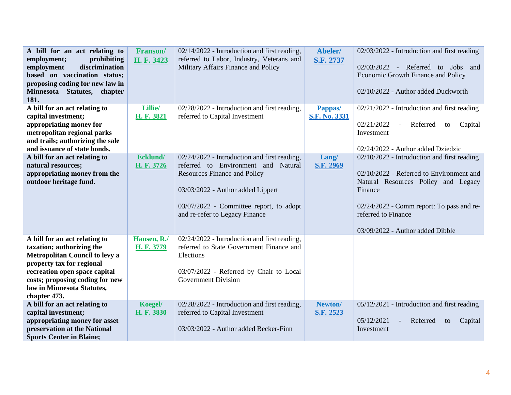| A bill for an act relating to<br>employment;<br>prohibiting<br>discrimination<br>employment<br>based on vaccination status;<br>proposing coding for new law in<br>Minnesota Statutes, chapter<br>181.                                       | Franson/<br>H. F. 3423           | 02/14/2022 - Introduction and first reading,<br>referred to Labor, Industry, Veterans and<br>Military Affairs Finance and Policy                                                                                                             | Abeler/<br>S.F. 2737            | 02/03/2022 - Introduction and first reading<br>02/03/2022 - Referred to Jobs and<br>Economic Growth Finance and Policy<br>02/10/2022 - Author added Duckworth                                                                                     |
|---------------------------------------------------------------------------------------------------------------------------------------------------------------------------------------------------------------------------------------------|----------------------------------|----------------------------------------------------------------------------------------------------------------------------------------------------------------------------------------------------------------------------------------------|---------------------------------|---------------------------------------------------------------------------------------------------------------------------------------------------------------------------------------------------------------------------------------------------|
| A bill for an act relating to<br>capital investment;<br>appropriating money for<br>metropolitan regional parks<br>and trails; authorizing the sale<br>and issuance of state bonds.                                                          | <b>Lillie</b><br><b>H.F.3821</b> | 02/28/2022 - Introduction and first reading,<br>referred to Capital Investment                                                                                                                                                               | Pappas/<br><b>S.F. No. 3331</b> | 02/21/2022 - Introduction and first reading<br>02/21/2022<br>Referred<br>Capital<br>$\equiv$<br>to<br>Investment<br>02/24/2022 - Author added Dziedzic                                                                                            |
| A bill for an act relating to<br>natural resources;<br>appropriating money from the<br>outdoor heritage fund.                                                                                                                               | Ecklund/<br>H. F. 3726           | 02/24/2022 - Introduction and first reading,<br>referred to Environment and Natural<br><b>Resources Finance and Policy</b><br>03/03/2022 - Author added Lippert<br>03/07/2022 - Committee report, to adopt<br>and re-refer to Legacy Finance | Lang/<br>S.F. 2969              | 02/10/2022 - Introduction and first reading<br>02/10/2022 - Referred to Environment and<br>Natural Resources Policy and Legacy<br>Finance<br>02/24/2022 - Comm report: To pass and re-<br>referred to Finance<br>03/09/2022 - Author added Dibble |
| A bill for an act relating to<br>taxation; authorizing the<br>Metropolitan Council to levy a<br>property tax for regional<br>recreation open space capital<br>costs; proposing coding for new<br>law in Minnesota Statutes,<br>chapter 473. | Hansen, R./<br>H. F. 3779        | 02/24/2022 - Introduction and first reading,<br>referred to State Government Finance and<br>Elections<br>03/07/2022 - Referred by Chair to Local<br><b>Government Division</b>                                                               |                                 |                                                                                                                                                                                                                                                   |
| A bill for an act relating to<br>capital investment;<br>appropriating money for asset<br>preservation at the National<br><b>Sports Center in Blaine;</b>                                                                                    | Koegel/<br>H. F. 3830            | 02/28/2022 - Introduction and first reading,<br>referred to Capital Investment<br>03/03/2022 - Author added Becker-Finn                                                                                                                      | Newton/<br><b>S.F. 2523</b>     | 05/12/2021 - Introduction and first reading<br>05/12/2021<br>Referred<br>Capital<br>to<br>Investment                                                                                                                                              |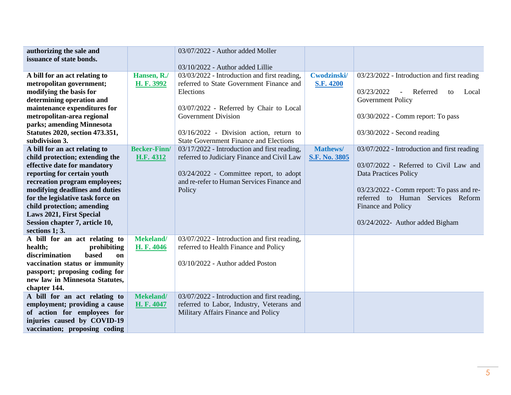| authorizing the sale and<br>issuance of state bonds.                                                                                                                                                                                                                                                                        |                                                  | 03/07/2022 - Author added Moller<br>03/10/2022 - Author added Lillie                                                                                                                                                                                                                                                         |                                                     |                                                                                                                                                                                                                                        |
|-----------------------------------------------------------------------------------------------------------------------------------------------------------------------------------------------------------------------------------------------------------------------------------------------------------------------------|--------------------------------------------------|------------------------------------------------------------------------------------------------------------------------------------------------------------------------------------------------------------------------------------------------------------------------------------------------------------------------------|-----------------------------------------------------|----------------------------------------------------------------------------------------------------------------------------------------------------------------------------------------------------------------------------------------|
| A bill for an act relating to<br>metropolitan government;<br>modifying the basis for<br>determining operation and<br>maintenance expenditures for<br>metropolitan-area regional<br>parks; amending Minnesota<br><b>Statutes 2020, section 473.351,</b><br>subdivision 3.<br>A bill for an act relating to                   | Hansen, R./<br>H. F. 3992<br><b>Becker-Finn/</b> | 03/03/2022 - Introduction and first reading,<br>referred to State Government Finance and<br>Elections<br>03/07/2022 - Referred by Chair to Local<br><b>Government Division</b><br>$03/16/2022$ - Division action, return to<br><b>State Government Finance and Elections</b><br>03/17/2022 - Introduction and first reading, | Cwodzinski/<br><b>S.F. 4200</b><br><b>Mathews</b> / | 03/23/2022 - Introduction and first reading<br>03/23/2022<br>Referred<br>Local<br>to<br>$\sim$<br>Government Policy<br>03/30/2022 - Comm report: To pass<br>03/30/2022 - Second reading<br>03/07/2022 - Introduction and first reading |
| child protection; extending the<br>effective date for mandatory<br>reporting for certain youth<br>recreation program employees;<br>modifying deadlines and duties<br>for the legislative task force on<br>child protection; amending<br><b>Laws 2021, First Special</b><br>Session chapter 7, article 10,<br>sections 1; 3. | H.F. 4312                                        | referred to Judiciary Finance and Civil Law<br>03/24/2022 - Committee report, to adopt<br>and re-refer to Human Services Finance and<br>Policy                                                                                                                                                                               | <b>S.F. No. 3805</b>                                | 03/07/2022 - Referred to Civil Law and<br><b>Data Practices Policy</b><br>03/23/2022 - Comm report: To pass and re-<br>referred to Human Services Reform<br>Finance and Policy<br>03/24/2022- Author added Bigham                      |
| A bill for an act relating to<br>health;<br>prohibiting<br>discrimination<br>based<br><sub>on</sub><br>vaccination status or immunity<br>passport; proposing coding for<br>new law in Minnesota Statutes,<br>chapter 144.                                                                                                   | Mekeland/<br>H. F. 4046                          | 03/07/2022 - Introduction and first reading,<br>referred to Health Finance and Policy<br>03/10/2022 - Author added Poston                                                                                                                                                                                                    |                                                     |                                                                                                                                                                                                                                        |
| A bill for an act relating to<br>employment; providing a cause<br>of action for employees for<br>injuries caused by COVID-19<br>vaccination; proposing coding                                                                                                                                                               | Mekeland/<br>H. F. 4047                          | 03/07/2022 - Introduction and first reading,<br>referred to Labor, Industry, Veterans and<br>Military Affairs Finance and Policy                                                                                                                                                                                             |                                                     |                                                                                                                                                                                                                                        |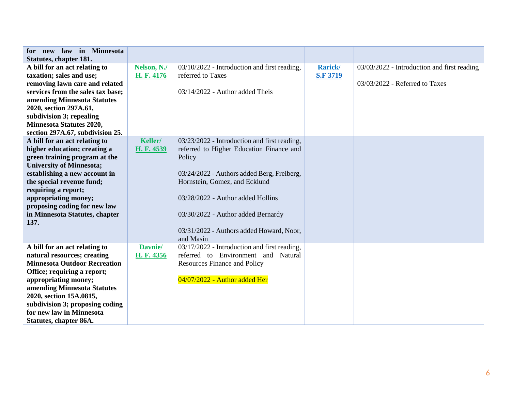| for new law in Minnesota<br><b>Statutes, chapter 181.</b>                                                                                                                                                                                                                                                                |                           |                                                                                                                                                                                                                                                                                                                       |                                   |                                                                               |
|--------------------------------------------------------------------------------------------------------------------------------------------------------------------------------------------------------------------------------------------------------------------------------------------------------------------------|---------------------------|-----------------------------------------------------------------------------------------------------------------------------------------------------------------------------------------------------------------------------------------------------------------------------------------------------------------------|-----------------------------------|-------------------------------------------------------------------------------|
| A bill for an act relating to<br>taxation; sales and use;<br>removing lawn care and related<br>services from the sales tax base;<br>amending Minnesota Statutes<br>2020, section 297A.61,<br>subdivision 3; repealing<br><b>Minnesota Statutes 2020,</b><br>section 297A.67, subdivision 25.                             | Nelson, N./<br>H. F. 4176 | 03/10/2022 - Introduction and first reading,<br>referred to Taxes<br>$03/14/2022$ - Author added Theis                                                                                                                                                                                                                | <b>Rarick/</b><br><b>S.F 3719</b> | 03/03/2022 - Introduction and first reading<br>03/03/2022 - Referred to Taxes |
| A bill for an act relating to<br>higher education; creating a<br>green training program at the<br><b>University of Minnesota;</b><br>establishing a new account in<br>the special revenue fund;<br>requiring a report;<br>appropriating money;<br>proposing coding for new law<br>in Minnesota Statutes, chapter<br>137. | Keller/<br>H. F. 4539     | 03/23/2022 - Introduction and first reading,<br>referred to Higher Education Finance and<br>Policy<br>03/24/2022 - Authors added Berg, Freiberg,<br>Hornstein, Gomez, and Ecklund<br>03/28/2022 - Author added Hollins<br>03/30/2022 - Author added Bernardy<br>03/31/2022 - Authors added Howard, Noor,<br>and Masin |                                   |                                                                               |
| A bill for an act relating to<br>natural resources; creating<br><b>Minnesota Outdoor Recreation</b><br>Office; requiring a report;<br>appropriating money;<br>amending Minnesota Statutes<br>2020, section 15A.0815,<br>subdivision 3; proposing coding<br>for new law in Minnesota<br>Statutes, chapter 86A.            | Davnie/<br>H. F. 4356     | 03/17/2022 - Introduction and first reading,<br>referred to Environment and Natural<br><b>Resources Finance and Policy</b><br>04/07/2022 - Author added Her                                                                                                                                                           |                                   |                                                                               |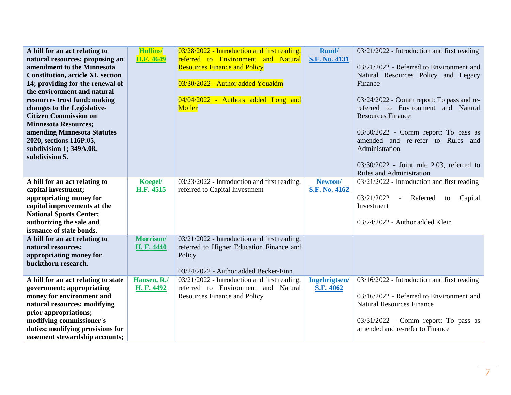| A bill for an act relating to<br>natural resources; proposing an<br>amendment to the Minnesota<br><b>Constitution, article XI, section</b><br>14; providing for the renewal of<br>the environment and natural<br>resources trust fund; making<br>changes to the Legislative-<br><b>Citizen Commission on</b><br><b>Minnesota Resources;</b><br>amending Minnesota Statutes<br>2020, sections 116P.05,<br>subdivision 1; 349A.08,<br>subdivision 5. | <b>Hollins/</b><br><b>H.F. 4649</b> | 03/28/2022 - Introduction and first reading,<br>referred to Environment and Natural<br><b>Resources Finance and Policy</b><br>03/30/2022 - Author added Youakim<br>04/04/2022 - Authors added Long and<br>Moller | Ruud/<br><b>S.F. No. 4131</b> | 03/21/2022 - Introduction and first reading<br>03/21/2022 - Referred to Environment and<br>Natural Resources Policy and Legacy<br>Finance<br>03/24/2022 - Comm report: To pass and re-<br>referred to Environment and Natural<br><b>Resources Finance</b><br>03/30/2022 - Comm report: To pass as<br>amended and re-refer to Rules and<br>Administration<br>03/30/2022 - Joint rule 2.03, referred to<br><b>Rules and Administration</b> |
|----------------------------------------------------------------------------------------------------------------------------------------------------------------------------------------------------------------------------------------------------------------------------------------------------------------------------------------------------------------------------------------------------------------------------------------------------|-------------------------------------|------------------------------------------------------------------------------------------------------------------------------------------------------------------------------------------------------------------|-------------------------------|------------------------------------------------------------------------------------------------------------------------------------------------------------------------------------------------------------------------------------------------------------------------------------------------------------------------------------------------------------------------------------------------------------------------------------------|
| A bill for an act relating to<br>capital investment;<br>appropriating money for<br>capital improvements at the<br><b>National Sports Center;</b><br>authorizing the sale and                                                                                                                                                                                                                                                                       | Koegel/<br><b>H.F. 4515</b>         | 03/23/2022 - Introduction and first reading,<br>referred to Capital Investment                                                                                                                                   | Newton/<br>S.F. No. 4162      | 03/21/2022 - Introduction and first reading<br>03/21/2022<br>Referred<br>Capital<br>$\blacksquare$<br>to<br>Investment<br>03/24/2022 - Author added Klein                                                                                                                                                                                                                                                                                |
| issuance of state bonds.<br>A bill for an act relating to<br>natural resources;<br>appropriating money for<br>buckthorn research.                                                                                                                                                                                                                                                                                                                  | <b>Morrison</b> /<br>H. F. 4440     | 03/21/2022 - Introduction and first reading,<br>referred to Higher Education Finance and<br>Policy<br>03/24/2022 - Author added Becker-Finn                                                                      |                               |                                                                                                                                                                                                                                                                                                                                                                                                                                          |
| A bill for an act relating to state<br>government; appropriating<br>money for environment and<br>natural resources; modifying<br>prior appropriations;<br>modifying commissioner's<br>duties; modifying provisions for<br>easement stewardship accounts;                                                                                                                                                                                           | Hansen, R./<br>H. F. 4492           | 03/21/2022 - Introduction and first reading,<br>referred to Environment and Natural<br><b>Resources Finance and Policy</b>                                                                                       | Ingebrigtsen/<br>S.F. 4062    | 03/16/2022 - Introduction and first reading<br>03/16/2022 - Referred to Environment and<br><b>Natural Resources Finance</b><br>03/31/2022 - Comm report: To pass as<br>amended and re-refer to Finance                                                                                                                                                                                                                                   |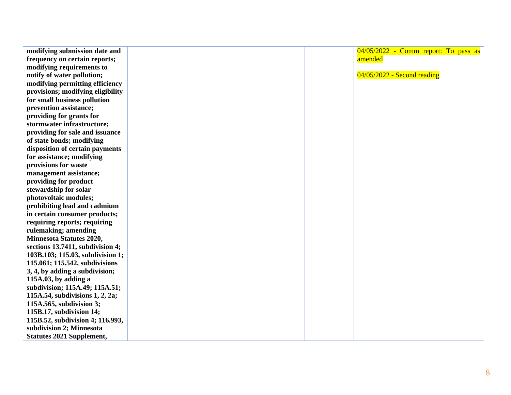| modifying submission date and     | $04/05/2022$ - Comm report: To pass as |
|-----------------------------------|----------------------------------------|
| frequency on certain reports;     | amended                                |
| modifying requirements to         |                                        |
| notify of water pollution;        | $04/05/2022$ - Second reading          |
| modifying permitting efficiency   |                                        |
| provisions; modifying eligibility |                                        |
| for small business pollution      |                                        |
| prevention assistance;            |                                        |
| providing for grants for          |                                        |
| stormwater infrastructure;        |                                        |
| providing for sale and issuance   |                                        |
| of state bonds; modifying         |                                        |
| disposition of certain payments   |                                        |
| for assistance; modifying         |                                        |
| provisions for waste              |                                        |
| management assistance;            |                                        |
| providing for product             |                                        |
| stewardship for solar             |                                        |
| photovoltaic modules;             |                                        |
| prohibiting lead and cadmium      |                                        |
| in certain consumer products;     |                                        |
| requiring reports; requiring      |                                        |
| rulemaking; amending              |                                        |
| <b>Minnesota Statutes 2020,</b>   |                                        |
| sections 13.7411, subdivision 4;  |                                        |
| 103B.103; 115.03, subdivision 1;  |                                        |
| 115.061; 115.542, subdivisions    |                                        |
| 3, 4, by adding a subdivision;    |                                        |
| 115A.03, by adding a              |                                        |
| subdivision; 115A.49; 115A.51;    |                                        |
| 115A.54, subdivisions 1, 2, 2a;   |                                        |
| 115A.565, subdivision 3;          |                                        |
| 115B.17, subdivision 14;          |                                        |
| 115B.52, subdivision 4; 116.993,  |                                        |
| subdivision 2; Minnesota          |                                        |
| <b>Statutes 2021 Supplement,</b>  |                                        |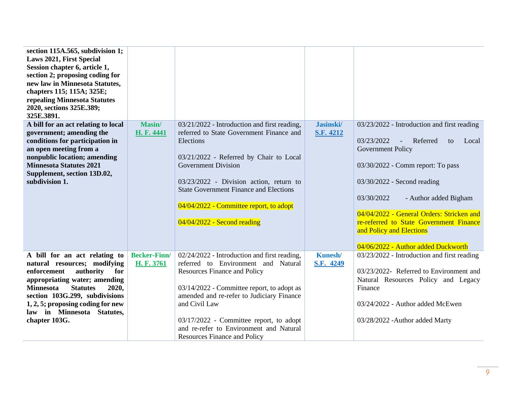| section 115A.565, subdivision 1;<br><b>Laws 2021, First Special</b><br>Session chapter 6, article 1,<br>section 2; proposing coding for<br>new law in Minnesota Statutes,<br>chapters 115; 115A; 325E;<br>repealing Minnesota Statutes<br>2020, sections 325E.389;<br>325E.3891.                        |                                   |                                                                                                                                                                                                                                                                                                                                                                     |                             |                                                                                                                                                                                                                                                                                                                                                                                                          |
|---------------------------------------------------------------------------------------------------------------------------------------------------------------------------------------------------------------------------------------------------------------------------------------------------------|-----------------------------------|---------------------------------------------------------------------------------------------------------------------------------------------------------------------------------------------------------------------------------------------------------------------------------------------------------------------------------------------------------------------|-----------------------------|----------------------------------------------------------------------------------------------------------------------------------------------------------------------------------------------------------------------------------------------------------------------------------------------------------------------------------------------------------------------------------------------------------|
| A bill for an act relating to local<br>government; amending the<br>conditions for participation in<br>an open meeting from a<br>nonpublic location; amending<br><b>Minnesota Statutes 2021</b><br>Supplement, section 13D.02,<br>subdivision 1.                                                         | Masin/<br>H. F. 4441              | 03/21/2022 - Introduction and first reading,<br>referred to State Government Finance and<br>Elections<br>03/21/2022 - Referred by Chair to Local<br><b>Government Division</b><br>03/23/2022 - Division action, return to<br><b>State Government Finance and Elections</b><br>04/04/2022 - Committee report, to adopt<br>$04/04/2022$ - Second reading              | Jasinski/<br>S.F. 4212      | 03/23/2022 - Introduction and first reading<br>03/23/2022<br>Referred<br>Local<br>$\mathbb{Z}^2$<br>to<br><b>Government Policy</b><br>03/30/2022 - Comm report: To pass<br>03/30/2022 - Second reading<br>03/30/2022<br>- Author added Bigham<br>04/04/2022 - General Orders: Stricken and<br>re-referred to State Government Finance<br>and Policy and Elections<br>04/06/2022 - Author added Duckworth |
| A bill for an act relating to<br>natural resources; modifying<br>authority<br>for<br>enforcement<br>appropriating water; amending<br><b>Minnesota</b><br><b>Statutes</b><br>2020,<br>section 103G.299, subdivisions<br>1, 2, 5; proposing coding for new<br>law in Minnesota Statutes,<br>chapter 103G. | <b>Becker-Finn/</b><br>H. F. 3761 | 02/24/2022 - Introduction and first reading,<br>referred to Environment and Natural<br><b>Resources Finance and Policy</b><br>03/14/2022 - Committee report, to adopt as<br>amended and re-refer to Judiciary Finance<br>and Civil Law<br>03/17/2022 - Committee report, to adopt<br>and re-refer to Environment and Natural<br><b>Resources Finance and Policy</b> | <b>Kunesh/</b><br>S.F. 4249 | 03/23/2022 - Introduction and first reading<br>03/23/2022- Referred to Environment and<br>Natural Resources Policy and Legacy<br>Finance<br>03/24/2022 - Author added McEwen<br>03/28/2022 - Author added Marty                                                                                                                                                                                          |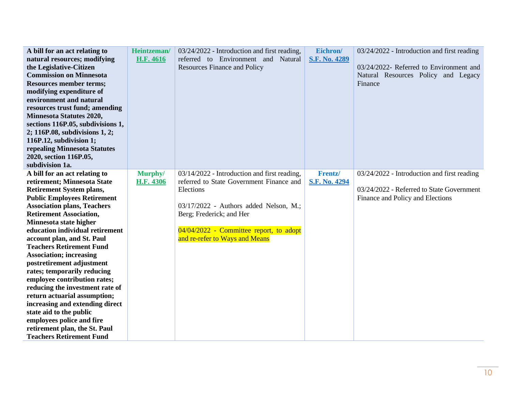| A bill for an act relating to<br>natural resources; modifying        | Heintzeman/<br>H.F. 4616 | 03/24/2022 - Introduction and first reading,<br>referred to Environment and Natural      | Eichron/<br>S.F. No. 4289 | 03/24/2022 - Introduction and first reading                                    |
|----------------------------------------------------------------------|--------------------------|------------------------------------------------------------------------------------------|---------------------------|--------------------------------------------------------------------------------|
| the Legislative-Citizen<br><b>Commission on Minnesota</b>            |                          | <b>Resources Finance and Policy</b>                                                      |                           | 03/24/2022- Referred to Environment and<br>Natural Resources Policy and Legacy |
| <b>Resources member terms;</b><br>modifying expenditure of           |                          |                                                                                          |                           | Finance                                                                        |
| environment and natural<br>resources trust fund; amending            |                          |                                                                                          |                           |                                                                                |
| <b>Minnesota Statutes 2020,</b>                                      |                          |                                                                                          |                           |                                                                                |
| sections 116P.05, subdivisions 1,                                    |                          |                                                                                          |                           |                                                                                |
| 2; 116P.08, subdivisions 1, 2;<br>116P.12, subdivision 1;            |                          |                                                                                          |                           |                                                                                |
| repealing Minnesota Statutes                                         |                          |                                                                                          |                           |                                                                                |
| 2020, section 116P.05,<br>subdivision 1a.                            |                          |                                                                                          |                           |                                                                                |
| A bill for an act relating to                                        | Murphy/                  | 03/14/2022 - Introduction and first reading,<br>referred to State Government Finance and | Frentz/                   | 03/24/2022 - Introduction and first reading                                    |
| retirement; Minnesota State<br><b>Retirement System plans,</b>       | <b>H.F. 4306</b>         | Elections                                                                                | S.F. No. 4294             | 03/24/2022 - Referred to State Government                                      |
| <b>Public Employees Retirement</b>                                   |                          |                                                                                          |                           | Finance and Policy and Elections                                               |
| <b>Association plans, Teachers</b><br><b>Retirement Association,</b> |                          | 03/17/2022 - Authors added Nelson, M.;<br>Berg; Frederick; and Her                       |                           |                                                                                |
| Minnesota state higher                                               |                          |                                                                                          |                           |                                                                                |
| education individual retirement                                      |                          | 04/04/2022 - Committee report, to adopt                                                  |                           |                                                                                |
| account plan, and St. Paul<br><b>Teachers Retirement Fund</b>        |                          | and re-refer to Ways and Means                                                           |                           |                                                                                |
| <b>Association; increasing</b>                                       |                          |                                                                                          |                           |                                                                                |
| postretirement adjustment<br>rates; temporarily reducing             |                          |                                                                                          |                           |                                                                                |
| employee contribution rates;                                         |                          |                                                                                          |                           |                                                                                |
| reducing the investment rate of                                      |                          |                                                                                          |                           |                                                                                |
| return actuarial assumption;<br>increasing and extending direct      |                          |                                                                                          |                           |                                                                                |
| state aid to the public                                              |                          |                                                                                          |                           |                                                                                |
| employees police and fire                                            |                          |                                                                                          |                           |                                                                                |
| retirement plan, the St. Paul<br><b>Teachers Retirement Fund</b>     |                          |                                                                                          |                           |                                                                                |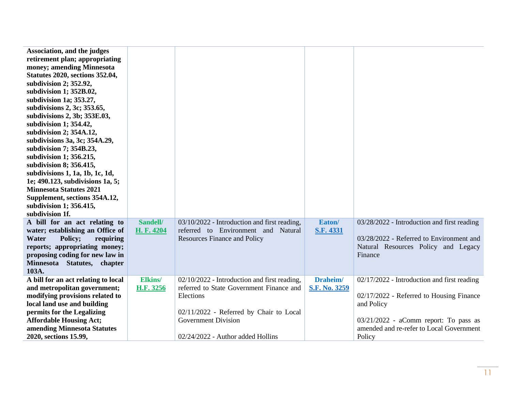| Association, and the judges<br>retirement plan; appropriating<br>money; amending Minnesota<br><b>Statutes 2020, sections 352.04,</b><br>subdivision 2; 352.92,<br>subdivision 1; 352B.02,<br>subdivision 1a; 353.27,<br>subdivisions 2, 3c; 353.65,<br>subdivisions 2, 3b; 353E.03,<br>subdivision 1; 354.42,<br>subdivision 2; 354A.12,<br>subdivisions 3a, 3c; 354A.29,<br>subdivision 7; 354B.23,<br>subdivision 1; 356.215,<br>subdivision 8; 356.415,<br>subdivisions 1, 1a, 1b, 1c, 1d,<br>1e; 490.123, subdivisions 1a, 5;<br><b>Minnesota Statutes 2021</b><br>Supplement, sections 354A.12,<br>subdivision 1; 356.415,<br>subdivision 1f. |                             |                                                                                                                                                                                                                     |                           |                                                                                                                                                                                                        |
|----------------------------------------------------------------------------------------------------------------------------------------------------------------------------------------------------------------------------------------------------------------------------------------------------------------------------------------------------------------------------------------------------------------------------------------------------------------------------------------------------------------------------------------------------------------------------------------------------------------------------------------------------|-----------------------------|---------------------------------------------------------------------------------------------------------------------------------------------------------------------------------------------------------------------|---------------------------|--------------------------------------------------------------------------------------------------------------------------------------------------------------------------------------------------------|
| A bill for an act relating to<br>water; establishing an Office of<br>Policy;<br>Water<br>requiring<br>reports; appropriating money;<br>proposing coding for new law in<br>Minnesota Statutes, chapter<br>103A.                                                                                                                                                                                                                                                                                                                                                                                                                                     | Sandell/<br>H. F. 4204      | 03/10/2022 - Introduction and first reading,<br>referred to Environment and Natural<br><b>Resources Finance and Policy</b>                                                                                          | Eaton/<br>S.F. 4331       | 03/28/2022 - Introduction and first reading<br>03/28/2022 - Referred to Environment and<br>Natural Resources Policy and Legacy<br>Finance                                                              |
| A bill for an act relating to local<br>and metropolitan government;<br>modifying provisions related to<br>local land use and building<br>permits for the Legalizing<br><b>Affordable Housing Act;</b><br>amending Minnesota Statutes<br>2020, sections 15.99,                                                                                                                                                                                                                                                                                                                                                                                      | <b>Elkins/</b><br>H.F. 3256 | 02/10/2022 - Introduction and first reading,<br>referred to State Government Finance and<br>Elections<br>02/11/2022 - Referred by Chair to Local<br><b>Government Division</b><br>02/24/2022 - Author added Hollins | Draheim/<br>S.F. No. 3259 | 02/17/2022 - Introduction and first reading<br>02/17/2022 - Referred to Housing Finance<br>and Policy<br>$03/21/2022$ - aComm report: To pass as<br>amended and re-refer to Local Government<br>Policy |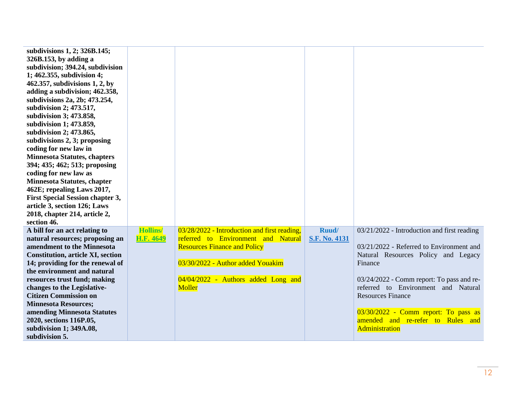| subdivisions 1, 2; 326B.145;<br>326B.153, by adding a<br>subdivision; 394.24, subdivision<br>1; 462.355, subdivision 4;<br>462.357, subdivisions 1, 2, by<br>adding a subdivision; 462.358,<br>subdivisions 2a, 2b; 473.254,<br>subdivision 2; 473.517,<br>subdivision 3; 473.858,<br>subdivision 1; 473.859,<br>subdivision 2; 473.865,<br>subdivisions 2, 3; proposing<br>coding for new law in<br><b>Minnesota Statutes, chapters</b><br>394; 435; 462; 513; proposing<br>coding for new law as<br><b>Minnesota Statutes, chapter</b><br>462E; repealing Laws 2017,<br><b>First Special Session chapter 3,</b><br>article 3, section 126; Laws<br>2018, chapter 214, article 2, |                  |                                                                                                                                                                  |               |                                                                                                                                                                                                                                                                                                           |
|------------------------------------------------------------------------------------------------------------------------------------------------------------------------------------------------------------------------------------------------------------------------------------------------------------------------------------------------------------------------------------------------------------------------------------------------------------------------------------------------------------------------------------------------------------------------------------------------------------------------------------------------------------------------------------|------------------|------------------------------------------------------------------------------------------------------------------------------------------------------------------|---------------|-----------------------------------------------------------------------------------------------------------------------------------------------------------------------------------------------------------------------------------------------------------------------------------------------------------|
| section 46.<br>A bill for an act relating to                                                                                                                                                                                                                                                                                                                                                                                                                                                                                                                                                                                                                                       | <b>Hollins</b>   | 03/28/2022 - Introduction and first reading,                                                                                                                     | Ruud/         | 03/21/2022 - Introduction and first reading                                                                                                                                                                                                                                                               |
| natural resources; proposing an<br>amendment to the Minnesota<br><b>Constitution, article XI, section</b><br>14; providing for the renewal of<br>the environment and natural<br>resources trust fund; making<br>changes to the Legislative-<br><b>Citizen Commission on</b><br><b>Minnesota Resources;</b><br>amending Minnesota Statutes<br>2020, sections 116P.05,<br>subdivision 1; 349A.08,<br>subdivision 5.                                                                                                                                                                                                                                                                  | <b>H.F. 4649</b> | referred to Environment and Natural<br><b>Resources Finance and Policy</b><br>03/30/2022 - Author added Youakim<br>04/04/2022 - Authors added Long and<br>Moller | S.F. No. 4131 | 03/21/2022 - Referred to Environment and<br>Natural Resources Policy and Legacy<br>Finance<br>03/24/2022 - Comm report: To pass and re-<br>referred to Environment and Natural<br><b>Resources Finance</b><br>03/30/2022 - Comm report: To pass as<br>amended and re-refer to Rules and<br>Administration |